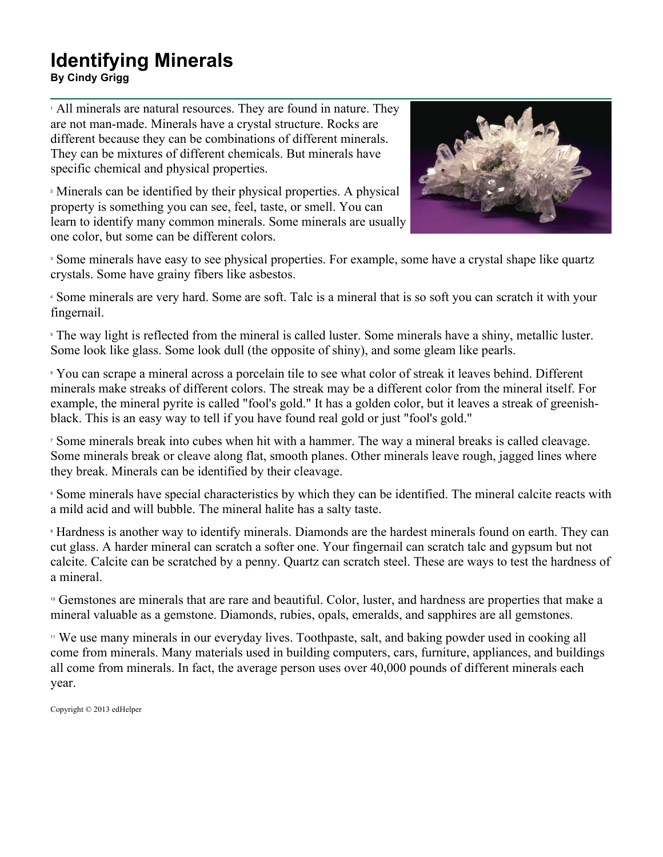## **Identifying Minerals**

**By Cindy Grigg**

<sup>1</sup> All minerals are natural resources. They are found in nature. They are not man-made. Minerals have a crystal structure. Rocks are different because they can be combinations of different minerals. They can be mixtures of different chemicals. But minerals have specific chemical and physical properties.

<sup>2</sup> Minerals can be identified by their physical properties. A physical property is something you can see, feel, taste, or smell. You can learn to identify many common minerals. Some minerals are usually one color, but some can be different colors.



<sup>3</sup> Some minerals have easy to see physical properties. For example, some have a crystal shape like quartz crystals. Some have grainy fibers like asbestos.

<sup>4</sup> Some minerals are very hard. Some are soft. Talc is a mineral that is so soft you can scratch it with your fingernail.

<sup>5</sup> The way light is reflected from the mineral is called luster. Some minerals have a shiny, metallic luster. Some look like glass. Some look dull (the opposite of shiny), and some gleam like pearls.

<sup>6</sup> You can scrape a mineral across a porcelain tile to see what color of streak it leaves behind. Different minerals make streaks of different colors. The streak may be a different color from the mineral itself. For example, the mineral pyrite is called "fool's gold." It has a golden color, but it leaves a streak of greenishblack. This is an easy way to tell if you have found real gold or just "fool's gold."

<sup>7</sup> Some minerals break into cubes when hit with a hammer. The way a mineral breaks is called cleavage. Some minerals break or cleave along flat, smooth planes. Other minerals leave rough, jagged lines where they break. Minerals can be identified by their cleavage.

<sup>8</sup> Some minerals have special characteristics by which they can be identified. The mineral calcite reacts with a mild acid and will bubble. The mineral halite has a salty taste.

<sup>9</sup> Hardness is another way to identify minerals. Diamonds are the hardest minerals found on earth. They can cut glass. A harder mineral can scratch a softer one. Your fingernail can scratch talc and gypsum but not calcite. Calcite can be scratched by a penny. Quartz can scratch steel. These are ways to test the hardness of a mineral.

<sup>10</sup> Gemstones are minerals that are rare and beautiful. Color, luster, and hardness are properties that make a mineral valuable as a gemstone. Diamonds, rubies, opals, emeralds, and sapphires are all gemstones.

<sup>11</sup> We use many minerals in our everyday lives. Toothpaste, salt, and baking powder used in cooking all come from minerals. Many materials used in building computers, cars, furniture, appliances, and buildings all come from minerals. In fact, the average person uses over 40,000 pounds of different minerals each year.

Copyright © 2013 edHelper